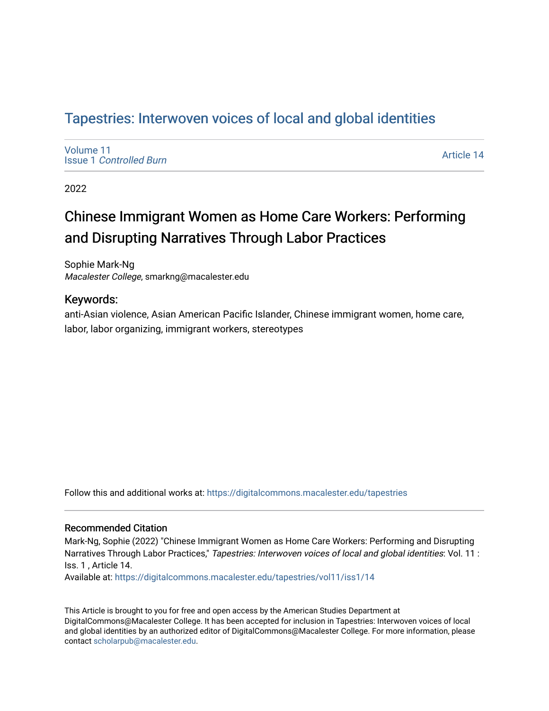# Tapestries: Interwoven voices of local and global identities

[Volume 11](https://digitalcommons.macalester.edu/tapestries/vol11) Issue 1 [Controlled Burn](https://digitalcommons.macalester.edu/tapestries/vol11/iss1) 

[Article 14](https://digitalcommons.macalester.edu/tapestries/vol11/iss1/14) 

2022

# Chinese Immigrant Women as Home Care Workers: Performing and Disrupting Narratives Through Labor Practices

Sophie Mark-Ng Macalester College, smarkng@macalester.edu

#### Keywords:

anti-Asian violence, Asian American Pacific Islander, Chinese immigrant women, home care, labor, labor organizing, immigrant workers, stereotypes

Follow this and additional works at: [https://digitalcommons.macalester.edu/tapestries](https://digitalcommons.macalester.edu/tapestries?utm_source=digitalcommons.macalester.edu%2Ftapestries%2Fvol11%2Fiss1%2F14&utm_medium=PDF&utm_campaign=PDFCoverPages) 

#### Recommended Citation

Mark-Ng, Sophie (2022) "Chinese Immigrant Women as Home Care Workers: Performing and Disrupting Narratives Through Labor Practices," Tapestries: Interwoven voices of local and global identities: Vol. 11 : Iss. 1 , Article 14.

Available at: [https://digitalcommons.macalester.edu/tapestries/vol11/iss1/14](https://digitalcommons.macalester.edu/tapestries/vol11/iss1/14?utm_source=digitalcommons.macalester.edu%2Ftapestries%2Fvol11%2Fiss1%2F14&utm_medium=PDF&utm_campaign=PDFCoverPages) 

This Article is brought to you for free and open access by the American Studies Department at DigitalCommons@Macalester College. It has been accepted for inclusion in Tapestries: Interwoven voices of local and global identities by an authorized editor of DigitalCommons@Macalester College. For more information, please contact [scholarpub@macalester.edu.](mailto:scholarpub@macalester.edu)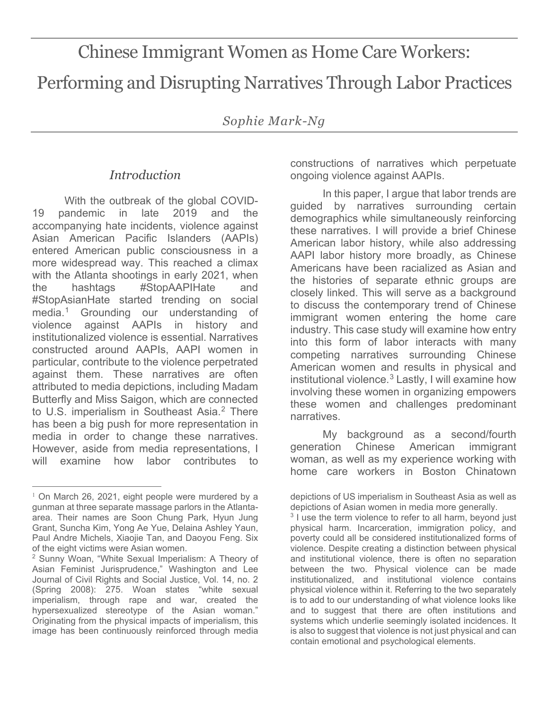# Chinese Immigrant Women as Home Care Workers: Performing and Disrupting Narratives Through Labor Practices

*Sophie Mark-Ng*

# *Introduction*

With the outbreak of the global COVID-19 pandemic in late 2019 and the accompanying hate incidents, violence against Asian American Pacific Islanders (AAPIs) entered American public consciousness in a more widespread way. This reached a climax with the Atlanta shootings in early 2021, when the hashtags #StopAAPIHate and #StopAsianHate started trending on social media.[1](#page-1-0) Grounding our understanding of violence against AAPIs in history and institutionalized violence is essential. Narratives constructed around AAPIs, AAPI women in particular, contribute to the violence perpetrated against them. These narratives are often attributed to media depictions, including Madam Butterfly and Miss Saigon, which are connected to U.S. imperialism in Southeast Asia.<sup>[2](#page-1-1)</sup> There has been a big push for more representation in media in order to change these narratives. However, aside from media representations, I will examine how labor contributes to

constructions of narratives which perpetuate ongoing violence against AAPIs.

In this paper, I argue that labor trends are guided by narratives surrounding certain demographics while simultaneously reinforcing these narratives. I will provide a brief Chinese American labor history, while also addressing AAPI labor history more broadly, as Chinese Americans have been racialized as Asian and the histories of separate ethnic groups are closely linked. This will serve as a background to discuss the contemporary trend of Chinese immigrant women entering the home care industry. This case study will examine how entry into this form of labor interacts with many competing narratives surrounding Chinese American women and results in physical and institutional violence. $3$  Lastly, I will examine how involving these women in organizing empowers these women and challenges predominant narratives.

My background as a second/fourth generation Chinese American immigrant woman, as well as my experience working with home care workers in Boston Chinatown

<sup>3</sup> I use the term violence to refer to all harm, beyond just physical harm. Incarceration, immigration policy, and poverty could all be considered institutionalized forms of violence. Despite creating a distinction between physical and institutional violence, there is often no separation between the two. Physical violence can be made institutionalized, and institutional violence contains physical violence within it. Referring to the two separately is to add to our understanding of what violence looks like and to suggest that there are often institutions and systems which underlie seemingly isolated incidences. It is also to suggest that violence is not just physical and can contain emotional and psychological elements.

<span id="page-1-2"></span><span id="page-1-0"></span> $\overline{a}$  $1$  On March 26, 2021, eight people were murdered by a gunman at three separate massage parlors in the Atlantaarea. Their names are Soon Chung Park, Hyun Jung Grant, Suncha Kim, Yong Ae Yue, Delaina Ashley Yaun, Paul Andre Michels, Xiaojie Tan, and Daoyou Feng. Six of the eight victims were Asian women.

<span id="page-1-1"></span><sup>2</sup> Sunny Woan, "White Sexual Imperialism: A Theory of Asian Feminist Jurisprudence," Washington and Lee Journal of Civil Rights and Social Justice, Vol. 14, no. 2 (Spring 2008): 275. Woan states "white sexual imperialism, through rape and war, created the hypersexualized stereotype of the Asian woman." Originating from the physical impacts of imperialism, this image has been continuously reinforced through media

depictions of US imperialism in Southeast Asia as well as depictions of Asian women in media more generally.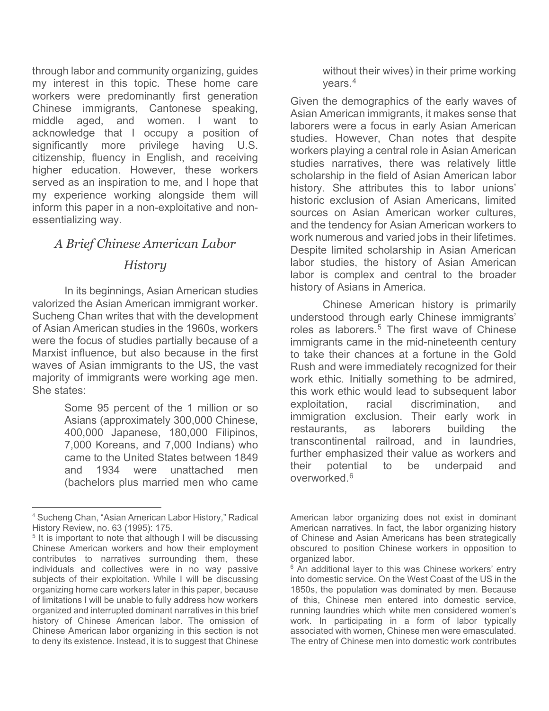through labor and community organizing, guides my interest in this topic. These home care workers were predominantly first generation Chinese immigrants, Cantonese speaking, middle aged, and women. I want to acknowledge that I occupy a position of significantly more privilege having U.S. citizenship, fluency in English, and receiving higher education. However, these workers served as an inspiration to me, and I hope that my experience working alongside them will inform this paper in a non-exploitative and nonessentializing way.

# *A Brief Chinese American Labor*

#### *History*

In its beginnings, Asian American studies valorized the Asian American immigrant worker. Sucheng Chan writes that with the development of Asian American studies in the 1960s, workers were the focus of studies partially because of a Marxist influence, but also because in the first waves of Asian immigrants to the US, the vast majority of immigrants were working age men. She states:

> Some 95 percent of the 1 million or so Asians (approximately 300,000 Chinese, 400,000 Japanese, 180,000 Filipinos, 7,000 Koreans, and 7,000 Indians) who came to the United States between 1849 and 1934 were unattached men (bachelors plus married men who came

without their wives) in their prime working years.[4](#page-2-0)

Given the demographics of the early waves of Asian American immigrants, it makes sense that laborers were a focus in early Asian American studies. However, Chan notes that despite workers playing a central role in Asian American studies narratives, there was relatively little scholarship in the field of Asian American labor history. She attributes this to labor unions' historic exclusion of Asian Americans, limited sources on Asian American worker cultures, and the tendency for Asian American workers to work numerous and varied jobs in their lifetimes. Despite limited scholarship in Asian American labor studies, the history of Asian American labor is complex and central to the broader history of Asians in America.

Chinese American history is primarily understood through early Chinese immigrants' roles as laborers.<sup>[5](#page-2-1)</sup> The first wave of Chinese immigrants came in the mid-nineteenth century to take their chances at a fortune in the Gold Rush and were immediately recognized for their work ethic. Initially something to be admired, this work ethic would lead to subsequent labor exploitation, racial discrimination, and immigration exclusion. Their early work in restaurants, as laborers building the transcontinental railroad, and in laundries, further emphasized their value as workers and their potential to be underpaid and overworked.[6](#page-2-2)

<span id="page-2-0"></span> $\overline{a}$ <sup>4</sup> Sucheng Chan, "Asian American Labor History," Radical History Review, no. 63 (1995): 175.

<span id="page-2-2"></span><span id="page-2-1"></span><sup>&</sup>lt;sup>5</sup> It is important to note that although I will be discussing Chinese American workers and how their employment contributes to narratives surrounding them, these individuals and collectives were in no way passive subjects of their exploitation. While I will be discussing organizing home care workers later in this paper, because of limitations I will be unable to fully address how workers organized and interrupted dominant narratives in this brief history of Chinese American labor. The omission of Chinese American labor organizing in this section is not to deny its existence. Instead, it is to suggest that Chinese

American labor organizing does not exist in dominant American narratives. In fact, the labor organizing history of Chinese and Asian Americans has been strategically obscured to position Chinese workers in opposition to organized labor.

 $6$  An additional laver to this was Chinese workers' entry into domestic service. On the West Coast of the US in the 1850s, the population was dominated by men. Because of this, Chinese men entered into domestic service, running laundries which white men considered women's work. In participating in a form of labor typically associated with women, Chinese men were emasculated. The entry of Chinese men into domestic work contributes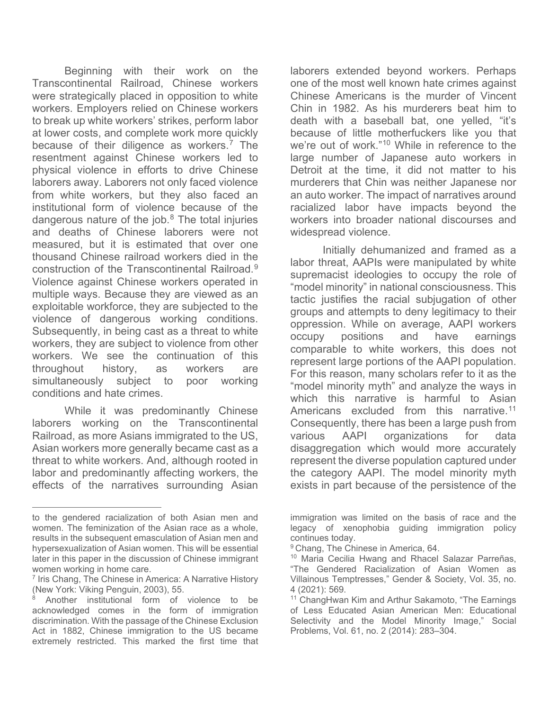Beginning with their work on the Transcontinental Railroad, Chinese workers were strategically placed in opposition to white workers. Employers relied on Chinese workers to break up white workers' strikes, perform labor at lower costs, and complete work more quickly because of their diligence as workers.<sup>[7](#page-3-0)</sup> The resentment against Chinese workers led to physical violence in efforts to drive Chinese laborers away. Laborers not only faced violence from white workers, but they also faced an institutional form of violence because of the dangerous nature of the job. $8$  The total injuries and deaths of Chinese laborers were not measured, but it is estimated that over one thousand Chinese railroad workers died in the construction of the Transcontinental Railroad<sup>[9](#page-3-2)</sup> Violence against Chinese workers operated in multiple ways. Because they are viewed as an exploitable workforce, they are subjected to the violence of dangerous working conditions. Subsequently, in being cast as a threat to white workers, they are subject to violence from other workers. We see the continuation of this throughout history, as workers are simultaneously subject to poor working conditions and hate crimes.

While it was predominantly Chinese laborers working on the Transcontinental Railroad, as more Asians immigrated to the US, Asian workers more generally became cast as a threat to white workers. And, although rooted in labor and predominantly affecting workers, the effects of the narratives surrounding Asian

 $\overline{a}$ 

laborers extended beyond workers. Perhaps one of the most well known hate crimes against Chinese Americans is the murder of Vincent Chin in 1982. As his murderers beat him to death with a baseball bat, one yelled, "it's because of little motherfuckers like you that we're out of work."[10](#page-3-3) While in reference to the large number of Japanese auto workers in Detroit at the time, it did not matter to his murderers that Chin was neither Japanese nor an auto worker. The impact of narratives around racialized labor have impacts beyond the workers into broader national discourses and widespread violence.

Initially dehumanized and framed as a labor threat, AAPIs were manipulated by white supremacist ideologies to occupy the role of "model minority" in national consciousness. This tactic justifies the racial subjugation of other groups and attempts to deny legitimacy to their oppression. While on average, AAPI workers occupy positions and have earnings comparable to white workers, this does not represent large portions of the AAPI population. For this reason, many scholars refer to it as the "model minority myth" and analyze the ways in which this narrative is harmful to Asian Americans excluded from this narrative.<sup>[11](#page-3-1)</sup> Consequently, there has been a large push from various AAPI organizations for data disaggregation which would more accurately represent the diverse population captured under the category AAPI. The model minority myth exists in part because of the persistence of the

<span id="page-3-2"></span>to the gendered racialization of both Asian men and women. The feminization of the Asian race as a whole, results in the subsequent emasculation of Asian men and hypersexualization of Asian women. This will be essential later in this paper in the discussion of Chinese immigrant women working in home care.

<span id="page-3-3"></span><span id="page-3-0"></span><sup>&</sup>lt;sup>7</sup> Iris Chang, The Chinese in America: A Narrative History (New York: Viking Penguin, 2003), 55.

<span id="page-3-1"></span>Another institutional form of violence to be acknowledged comes in the form of immigration discrimination. With the passage of the Chinese Exclusion Act in 1882, Chinese immigration to the US became extremely restricted. This marked the first time that

immigration was limited on the basis of race and the legacy of xenophobia guiding immigration policy continues today.

<sup>&</sup>lt;sup>9</sup> Chang, The Chinese in America, 64.

<sup>&</sup>lt;sup>10</sup> Maria Cecilia Hwang and Rhacel Salazar Parreñas, "The Gendered Racialization of Asian Women as Villainous Temptresses," Gender & Society, Vol. 35, no. 4 (2021): 569.<br><sup>11</sup> ChangHwan Kim and Arthur Sakamoto, "The Earnings

of Less Educated Asian American Men: Educational Selectivity and the Model Minority Image," Social Problems, Vol. 61, no. 2 (2014): 283–304.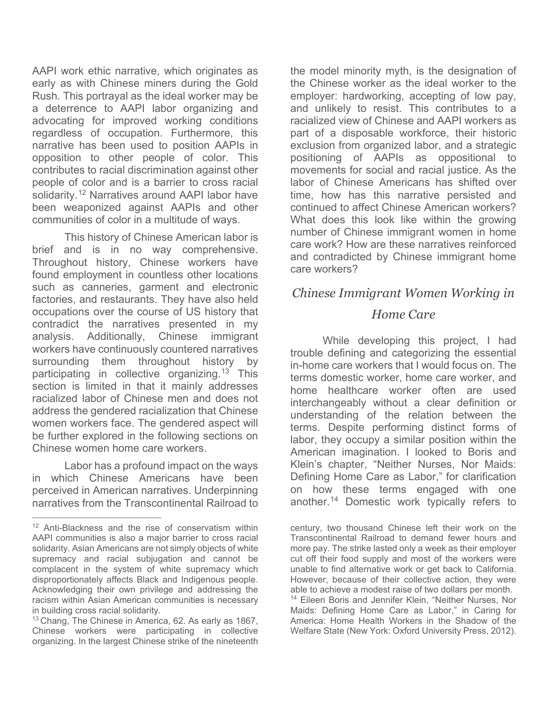AAPI work ethic narrative, which originates as early as with Chinese miners during the Gold Rush. This portrayal as the ideal worker may be a deterrence to AAPI labor organizing and advocating for improved working conditions regardless of occupation. Furthermore, this narrative has been used to position AAPIs in opposition to other people of color. This contributes to racial discrimination against other people of color and is a barrier to cross racial solidarity.<sup>[12](#page-4-0)</sup> Narratives around AAPI labor have been weaponized against AAPIs and other communities of color in a multitude of ways.

This history of Chinese American labor is brief and is in no way comprehensive. Throughout history, Chinese workers have found employment in countless other locations such as canneries, garment and electronic factories, and restaurants. They have also held occupations over the course of US history that contradict the narratives presented in my analysis. Additionally, Chinese immigrant workers have continuously countered narratives surrounding them throughout history by participating in collective organizing.<sup>[13](#page-4-1)</sup> This section is limited in that it mainly addresses racialized labor of Chinese men and does not address the gendered racialization that Chinese women workers face. The gendered aspect will be further explored in the following sections on Chinese women home care workers.

Labor has a profound impact on the ways in which Chinese Americans have been perceived in American narratives. Underpinning narratives from the Transcontinental Railroad to

 $\overline{a}$ 

the model minority myth, is the designation of the Chinese worker as the ideal worker to the employer: hardworking, accepting of low pay, and unlikely to resist. This contributes to a racialized view of Chinese and AAPI workers as part of a disposable workforce, their historic exclusion from organized labor, and a strategic positioning of AAPIs as oppositional to movements for social and racial justice. As the labor of Chinese Americans has shifted over time, how has this narrative persisted and continued to affect Chinese American workers? What does this look like within the growing number of Chinese immigrant women in home care work? How are these narratives reinforced and contradicted by Chinese immigrant home care workers?

# *Chinese Immigrant Women Working in*

## *Home Care*

While developing this project, I had trouble defining and categorizing the essential in-home care workers that I would focus on. The terms domestic worker, home care worker, and home healthcare worker often are used interchangeably without a clear definition or understanding of the relation between the terms. Despite performing distinct forms of labor, they occupy a similar position within the American imagination. I looked to Boris and Klein's chapter, "Neither Nurses, Nor Maids: Defining Home Care as Labor," for clarification on how these terms engaged with one another.<sup>[14](#page-4-2)</sup> Domestic work typically refers to

century, two thousand Chinese left their work on the Transcontinental Railroad to demand fewer hours and more pay. The strike lasted only a week as their employer cut off their food supply and most of the workers were unable to find alternative work or get back to California. However, because of their collective action, they were able to achieve a modest raise of two dollars per month. <sup>14</sup> Eileen Boris and Jennifer Klein, "Neither Nurses, Nor Maids: Defining Home Care as Labor," in Caring for America: Home Health Workers in the Shadow of the Welfare State (New York: Oxford University Press, 2012).

<span id="page-4-0"></span><sup>&</sup>lt;sup>12</sup> Anti-Blackness and the rise of conservatism within AAPI communities is also a major barrier to cross racial solidarity. Asian Americans are not simply objects of white supremacy and racial subjugation and cannot be complacent in the system of white supremacy which disproportionately affects Black and Indigenous people. Acknowledging their own privilege and addressing the racism within Asian American communities is necessary in building cross racial solidarity.

<span id="page-4-2"></span><span id="page-4-1"></span> $13$  Chang, The Chinese in America, 62. As early as 1867, Chinese workers were participating in collective organizing. In the largest Chinese strike of the nineteenth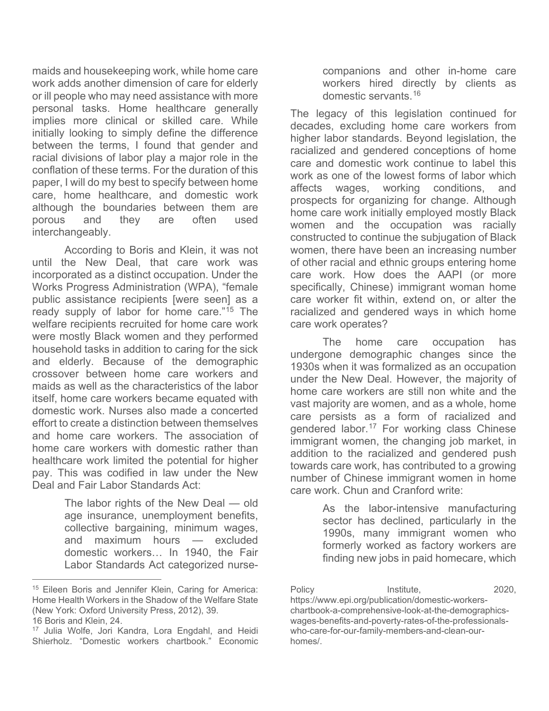maids and housekeeping work, while home care work adds another dimension of care for elderly or ill people who may need assistance with more personal tasks. Home healthcare generally implies more clinical or skilled care. While initially looking to simply define the difference between the terms, I found that gender and racial divisions of labor play a major role in the conflation of these terms. For the duration of this paper, I will do my best to specify between home care, home healthcare, and domestic work although the boundaries between them are porous and they are often used interchangeably.

According to Boris and Klein, it was not until the New Deal, that care work was incorporated as a distinct occupation. Under the Works Progress Administration (WPA), "female public assistance recipients [were seen] as a ready supply of labor for home care."[15](#page-5-0) The welfare recipients recruited for home care work were mostly Black women and they performed household tasks in addition to caring for the sick and elderly. Because of the demographic crossover between home care workers and maids as well as the characteristics of the labor itself, home care workers became equated with domestic work. Nurses also made a concerted effort to create a distinction between themselves and home care workers. The association of home care workers with domestic rather than healthcare work limited the potential for higher pay. This was codified in law under the New Deal and Fair Labor Standards Act:

> The labor rights of the New Deal — old age insurance, unemployment benefits, collective bargaining, minimum wages, and maximum hours — excluded domestic workers… In 1940, the Fair Labor Standards Act categorized nurse-

 $\overline{a}$ 

companions and other in-home care workers hired directly by clients as domestic servants.[16](#page-5-1)

The legacy of this legislation continued for decades, excluding home care workers from higher labor standards. Beyond legislation, the racialized and gendered conceptions of home care and domestic work continue to label this work as one of the lowest forms of labor which affects wages, working conditions, and prospects for organizing for change. Although home care work initially employed mostly Black women and the occupation was racially constructed to continue the subjugation of Black women, there have been an increasing number of other racial and ethnic groups entering home care work. How does the AAPI (or more specifically, Chinese) immigrant woman home care worker fit within, extend on, or alter the racialized and gendered ways in which home care work operates?

The home care occupation has undergone demographic changes since the 1930s when it was formalized as an occupation under the New Deal. However, the majority of home care workers are still non white and the vast majority are women, and as a whole, home care persists as a form of racialized and gendered labor.<sup>[17](#page-5-2)</sup> For working class Chinese immigrant women, the changing job market, in addition to the racialized and gendered push towards care work, has contributed to a growing number of Chinese immigrant women in home care work. Chun and Cranford write:

> As the labor-intensive manufacturing sector has declined, particularly in the 1990s, many immigrant women who formerly worked as factory workers are finding new jobs in paid homecare, which

Policy **Institute**, 2020, https://www.epi.org/publication/domestic-workerschartbook-a-comprehensive-look-at-the-demographicswages-benefits-and-poverty-rates-of-the-professionalswho-care-for-our-family-members-and-clean-ourhomes/.

<span id="page-5-0"></span><sup>&</sup>lt;sup>15</sup> Eileen Boris and Jennifer Klein, Caring for America: Home Health Workers in the Shadow of the Welfare State (New York: Oxford University Press, 2012), 39. 16 Boris and Klein, 24.

<span id="page-5-2"></span><span id="page-5-1"></span><sup>&</sup>lt;sup>17</sup> Julia Wolfe, Jori Kandra, Lora Engdahl, and Heidi Shierholz. "Domestic workers chartbook." Economic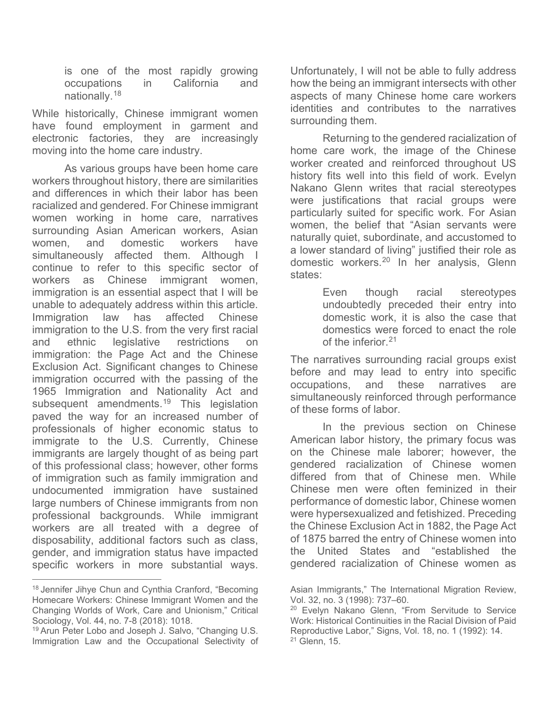is one of the most rapidly growing occupations in California and nationally.[18](#page-6-0)

While historically, Chinese immigrant women have found employment in garment and electronic factories, they are increasingly moving into the home care industry.

As various groups have been home care workers throughout history, there are similarities and differences in which their labor has been racialized and gendered. For Chinese immigrant women working in home care, narratives surrounding Asian American workers, Asian women, and domestic workers have simultaneously affected them. Although I continue to refer to this specific sector of workers as Chinese immigrant women, immigration is an essential aspect that I will be unable to adequately address within this article. Immigration law has affected Chinese immigration to the U.S. from the very first racial and ethnic legislative restrictions on immigration: the Page Act and the Chinese Exclusion Act. Significant changes to Chinese immigration occurred with the passing of the 1965 Immigration and Nationality Act and subsequent amendments.<sup>[19](#page-6-1)</sup> This legislation paved the way for an increased number of professionals of higher economic status to immigrate to the U.S. Currently, Chinese immigrants are largely thought of as being part of this professional class; however, other forms of immigration such as family immigration and undocumented immigration have sustained large numbers of Chinese immigrants from non professional backgrounds. While immigrant workers are all treated with a degree of disposability, additional factors such as class, gender, and immigration status have impacted specific workers in more substantial ways.

Unfortunately, I will not be able to fully address how the being an immigrant intersects with other aspects of many Chinese home care workers identities and contributes to the narratives surrounding them.

Returning to the gendered racialization of home care work, the image of the Chinese worker created and reinforced throughout US history fits well into this field of work. Evelyn Nakano Glenn writes that racial stereotypes were justifications that racial groups were particularly suited for specific work. For Asian women, the belief that "Asian servants were naturally quiet, subordinate, and accustomed to a lower standard of living" justified their role as domestic workers.<sup>[20](#page-6-2)</sup> In her analysis, Glenn states:

> Even though racial stereotypes undoubtedly preceded their entry into domestic work, it is also the case that domestics were forced to enact the role of the inferior <sup>21</sup>

The narratives surrounding racial groups exist before and may lead to entry into specific occupations, and these narratives are simultaneously reinforced through performance of these forms of labor.

In the previous section on Chinese American labor history, the primary focus was on the Chinese male laborer; however, the gendered racialization of Chinese women differed from that of Chinese men. While Chinese men were often feminized in their performance of domestic labor, Chinese women were hypersexualized and fetishized. Preceding the Chinese Exclusion Act in 1882, the Page Act of 1875 barred the entry of Chinese women into the United States and "established the gendered racialization of Chinese women as

<span id="page-6-0"></span> $\overline{a}$ <sup>18</sup> Jennifer Jihye Chun and Cynthia Cranford, "Becoming Homecare Workers: Chinese Immigrant Women and the Changing Worlds of Work, Care and Unionism," Critical

<span id="page-6-3"></span><span id="page-6-2"></span><span id="page-6-1"></span><sup>&</sup>lt;sup>19</sup> Arun Peter Lobo and Joseph J. Salvo, "Changing U.S. Immigration Law and the Occupational Selectivity of

Asian Immigrants," The International Migration Review, Vol. 32, no. 3 (1998): 737–60.

<sup>&</sup>lt;sup>20</sup> Evelyn Nakano Glenn, "From Servitude to Service Work: Historical Continuities in the Racial Division of Paid Reproductive Labor," Signs, Vol. 18, no. 1 (1992): 14.  $21$  Glenn, 15.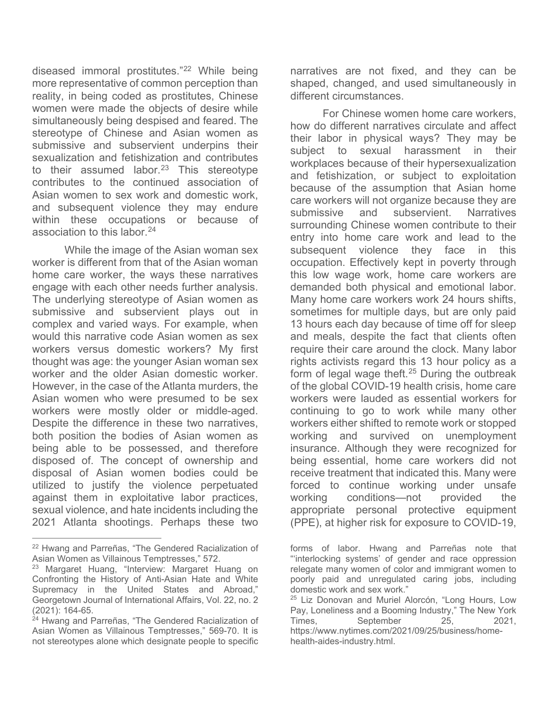diseased immoral prostitutes."[22](#page-7-0) While being more representative of common perception than reality, in being coded as prostitutes, Chinese women were made the objects of desire while simultaneously being despised and feared. The stereotype of Chinese and Asian women as submissive and subservient underpins their sexualization and fetishization and contributes to their assumed labor. $23$  This stereotype contributes to the continued association of Asian women to sex work and domestic work, and subsequent violence they may endure within these occupations or because of association to this labor.[24](#page-7-2)

While the image of the Asian woman sex worker is different from that of the Asian woman home care worker, the ways these narratives engage with each other needs further analysis. The underlying stereotype of Asian women as submissive and subservient plays out in complex and varied ways. For example, when would this narrative code Asian women as sex workers versus domestic workers? My first thought was age: the younger Asian woman sex worker and the older Asian domestic worker. However, in the case of the Atlanta murders, the Asian women who were presumed to be sex workers were mostly older or middle-aged. Despite the difference in these two narratives, both position the bodies of Asian women as being able to be possessed, and therefore disposed of. The concept of ownership and disposal of Asian women bodies could be utilized to justify the violence perpetuated against them in exploitative labor practices, sexual violence, and hate incidents including the 2021 Atlanta shootings. Perhaps these two

narratives are not fixed, and they can be shaped, changed, and used simultaneously in different circumstances.

For Chinese women home care workers, how do different narratives circulate and affect their labor in physical ways? They may be subject to sexual harassment in their workplaces because of their hypersexualization and fetishization, or subject to exploitation because of the assumption that Asian home care workers will not organize because they are submissive and subservient. Narratives surrounding Chinese women contribute to their entry into home care work and lead to the subsequent violence they face in this occupation. Effectively kept in poverty through this low wage work, home care workers are demanded both physical and emotional labor. Many home care workers work 24 hours shifts, sometimes for multiple days, but are only paid 13 hours each day because of time off for sleep and meals, despite the fact that clients often require their care around the clock. Many labor rights activists regard this 13 hour policy as a form of legal wage theft.<sup>[25](#page-7-3)</sup> During the outbreak of the global COVID-19 health crisis, home care workers were lauded as essential workers for continuing to go to work while many other workers either shifted to remote work or stopped working and survived on unemployment insurance. Although they were recognized for being essential, home care workers did not receive treatment that indicated this. Many were forced to continue working under unsafe working conditions—not provided the appropriate personal protective equipment (PPE), at higher risk for exposure to COVID-19,

<span id="page-7-0"></span> $\overline{a}$ <sup>22</sup> Hwang and Parreñas, "The Gendered Racialization of Asian Women as Villainous Temptresses," 572.

<span id="page-7-1"></span><sup>&</sup>lt;sup>23</sup> Margaret Huang, "Interview: Margaret Huang on Confronting the History of Anti-Asian Hate and White Supremacy in the United States and Abroad," Georgetown Journal of International Affairs, Vol. 22, no. 2 (2021): 164-65.

<span id="page-7-3"></span><span id="page-7-2"></span><sup>&</sup>lt;sup>24</sup> Hwang and Parreñas, "The Gendered Racialization of Asian Women as Villainous Temptresses," 569-70. It is not stereotypes alone which designate people to specific

forms of labor. Hwang and Parreñas note that "'interlocking systems' of gender and race oppression relegate many women of color and immigrant women to poorly paid and unregulated caring jobs, including domestic work and sex work."

<sup>&</sup>lt;sup>25</sup> Liz Donovan and Muriel Alorcón, "Long Hours, Low Pay, Loneliness and a Booming Industry," The New York Times, September 25, 2021, https://www.nytimes.com/2021/09/25/business/homehealth-aides-industry.html.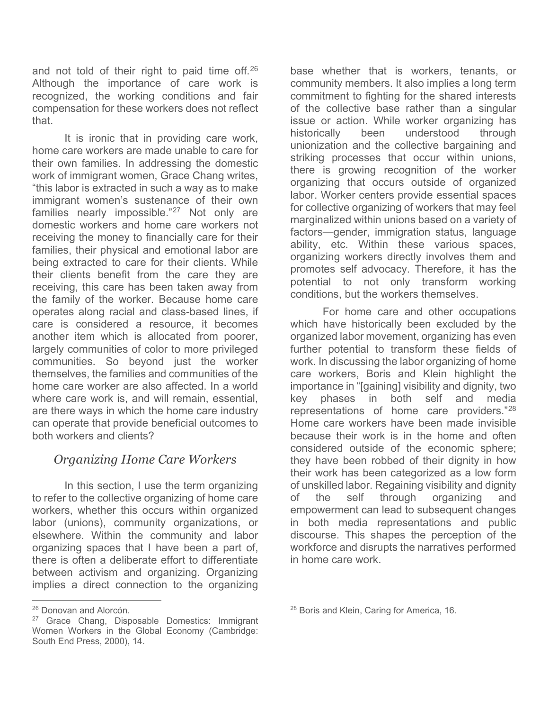and not told of their right to paid time off. $26$ Although the importance of care work is recognized, the working conditions and fair compensation for these workers does not reflect that.

It is ironic that in providing care work, home care workers are made unable to care for their own families. In addressing the domestic work of immigrant women, Grace Chang writes, "this labor is extracted in such a way as to make immigrant women's sustenance of their own families nearly impossible."<sup>[27](#page-8-1)</sup> Not only are domestic workers and home care workers not receiving the money to financially care for their families, their physical and emotional labor are being extracted to care for their clients. While their clients benefit from the care they are receiving, this care has been taken away from the family of the worker. Because home care operates along racial and class-based lines, if care is considered a resource, it becomes another item which is allocated from poorer, largely communities of color to more privileged communities. So beyond just the worker themselves, the families and communities of the home care worker are also affected. In a world where care work is, and will remain, essential, are there ways in which the home care industry can operate that provide beneficial outcomes to both workers and clients?

# *Organizing Home Care Workers*

In this section, I use the term organizing to refer to the collective organizing of home care workers, whether this occurs within organized labor (unions), community organizations, or elsewhere. Within the community and labor organizing spaces that I have been a part of, there is often a deliberate effort to differentiate between activism and organizing. Organizing implies a direct connection to the organizing

base whether that is workers, tenants, or community members. It also implies a long term commitment to fighting for the shared interests of the collective base rather than a singular issue or action. While worker organizing has historically been understood through unionization and the collective bargaining and striking processes that occur within unions, there is growing recognition of the worker organizing that occurs outside of organized labor. Worker centers provide essential spaces for collective organizing of workers that may feel marginalized within unions based on a variety of factors—gender, immigration status, language ability, etc. Within these various spaces, organizing workers directly involves them and promotes self advocacy. Therefore, it has the potential to not only transform working conditions, but the workers themselves.

For home care and other occupations which have historically been excluded by the organized labor movement, organizing has even further potential to transform these fields of work. In discussing the labor organizing of home care workers, Boris and Klein highlight the importance in "[gaining] visibility and dignity, two key phases in both self and media representations of home care providers."[28](#page-8-0) Home care workers have been made invisible because their work is in the home and often considered outside of the economic sphere; they have been robbed of their dignity in how their work has been categorized as a low form of unskilled labor. Regaining visibility and dignity of the self through organizing and empowerment can lead to subsequent changes in both media representations and public discourse. This shapes the perception of the workforce and disrupts the narratives performed in home care work.

 $\overline{a}$ <sup>26</sup> Donovan and Alorcón.

<span id="page-8-1"></span><span id="page-8-0"></span><sup>&</sup>lt;sup>27</sup> Grace Chang, Disposable Domestics: Immigrant Women Workers in the Global Economy (Cambridge: South End Press, 2000), 14.

<sup>&</sup>lt;sup>28</sup> Boris and Klein, Caring for America, 16.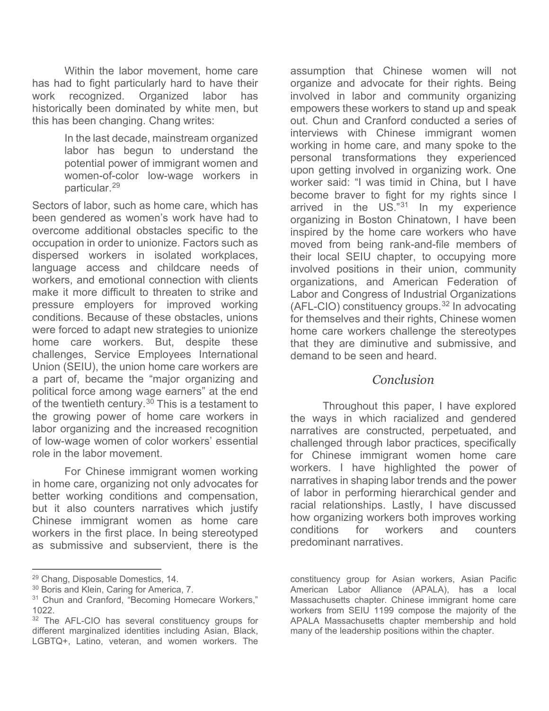Within the labor movement, home care has had to fight particularly hard to have their work recognized. Organized labor has historically been dominated by white men, but this has been changing. Chang writes:

> In the last decade, mainstream organized labor has begun to understand the potential power of immigrant women and women-of-color low-wage workers in particular.[29](#page-9-0)

Sectors of labor, such as home care, which has been gendered as women's work have had to overcome additional obstacles specific to the occupation in order to unionize. Factors such as dispersed workers in isolated workplaces, language access and childcare needs of workers, and emotional connection with clients make it more difficult to threaten to strike and pressure employers for improved working conditions. Because of these obstacles, unions were forced to adapt new strategies to unionize home care workers. But, despite these challenges, Service Employees International Union (SEIU), the union home care workers are a part of, became the "major organizing and political force among wage earners" at the end of the twentieth century.<sup>[30](#page-9-1)</sup> This is a testament to the growing power of home care workers in labor organizing and the increased recognition of low-wage women of color workers' essential role in the labor movement.

For Chinese immigrant women working in home care, organizing not only advocates for better working conditions and compensation, but it also counters narratives which justify Chinese immigrant women as home care workers in the first place. In being stereotyped as submissive and subservient, there is the

 $\overline{a}$ 

assumption that Chinese women will not organize and advocate for their rights. Being involved in labor and community organizing empowers these workers to stand up and speak out. Chun and Cranford conducted a series of interviews with Chinese immigrant women working in home care, and many spoke to the personal transformations they experienced upon getting involved in organizing work. One worker said: "I was timid in China, but I have become braver to fight for my rights since I arrived in the US."[31](#page-9-2) In my experience organizing in Boston Chinatown, I have been inspired by the home care workers who have moved from being rank-and-file members of their local SEIU chapter, to occupying more involved positions in their union, community organizations, and American Federation of Labor and Congress of Industrial Organizations (AFL-CIO) constituency groups.[32](#page-9-3) In advocating for themselves and their rights, Chinese women home care workers challenge the stereotypes that they are diminutive and submissive, and demand to be seen and heard.

#### *Conclusion*

Throughout this paper, I have explored the ways in which racialized and gendered narratives are constructed, perpetuated, and challenged through labor practices, specifically for Chinese immigrant women home care workers. I have highlighted the power of narratives in shaping labor trends and the power of labor in performing hierarchical gender and racial relationships. Lastly, I have discussed how organizing workers both improves working conditions for workers and counters predominant narratives.

<span id="page-9-0"></span><sup>29</sup> Chang, Disposable Domestics, 14.

<span id="page-9-1"></span><sup>30</sup> Boris and Klein, Caring for America, 7.

<span id="page-9-2"></span><sup>&</sup>lt;sup>31</sup> Chun and Cranford, "Becoming Homecare Workers," 1022.

<span id="page-9-3"></span><sup>&</sup>lt;sup>32</sup> The AFL-CIO has several constituency groups for different marginalized identities including Asian, Black, LGBTQ+, Latino, veteran, and women workers. The

constituency group for Asian workers, Asian Pacific American Labor Alliance (APALA), has a local Massachusetts chapter. Chinese immigrant home care workers from SEIU 1199 compose the majority of the APALA Massachusetts chapter membership and hold many of the leadership positions within the chapter.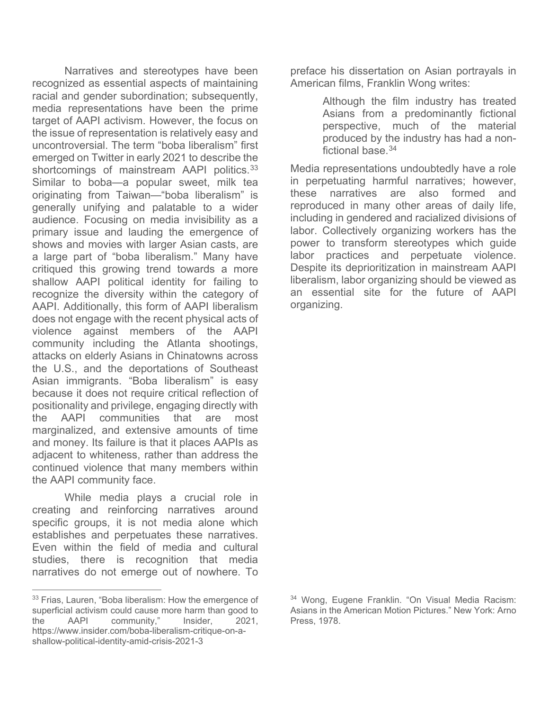Narratives and stereotypes have been recognized as essential aspects of maintaining racial and gender subordination; subsequently, media representations have been the prime target of AAPI activism. However, the focus on the issue of representation is relatively easy and uncontroversial. The term "boba liberalism" first emerged on Twitter in early 2021 to describe the shortcomings of mainstream AAPI politics.<sup>[33](#page-10-0)</sup> Similar to boba—a popular sweet, milk tea originating from Taiwan—"boba liberalism" is generally unifying and palatable to a wider audience. Focusing on media invisibility as a primary issue and lauding the emergence of shows and movies with larger Asian casts, are a large part of "boba liberalism." Many have critiqued this growing trend towards a more shallow AAPI political identity for failing to recognize the diversity within the category of AAPI. Additionally, this form of AAPI liberalism does not engage with the recent physical acts of violence against members of the AAPI community including the Atlanta shootings, attacks on elderly Asians in Chinatowns across the U.S., and the deportations of Southeast Asian immigrants. "Boba liberalism" is easy because it does not require critical reflection of positionality and privilege, engaging directly with the AAPI communities that are most marginalized, and extensive amounts of time and money. Its failure is that it places AAPIs as adjacent to whiteness, rather than address the continued violence that many members within the AAPI community face.

While media plays a crucial role in creating and reinforcing narratives around specific groups, it is not media alone which establishes and perpetuates these narratives. Even within the field of media and cultural studies, there is recognition that media narratives do not emerge out of nowhere. To

preface his dissertation on Asian portrayals in American films, Franklin Wong writes:

> Although the film industry has treated Asians from a predominantly fictional perspective, much of the material produced by the industry has had a nonfictional base  $34$

Media representations undoubtedly have a role in perpetuating harmful narratives; however, these narratives are also formed and reproduced in many other areas of daily life, including in gendered and racialized divisions of labor. Collectively organizing workers has the power to transform stereotypes which guide labor practices and perpetuate violence. Despite its deprioritization in mainstream AAPI liberalism, labor organizing should be viewed as an essential site for the future of AAPI organizing.

<span id="page-10-0"></span> $\overline{a}$ <sup>33</sup> Frias, Lauren, "Boba liberalism: How the emergence of superficial activism could cause more harm than good to the AAPI community," Insider, 2021, https://www.insider.com/boba-liberalism-critique-on-ashallow-political-identity-amid-crisis-2021-3

<sup>34</sup> Wong, Eugene Franklin. "On Visual Media Racism: Asians in the American Motion Pictures." New York: Arno Press, 1978.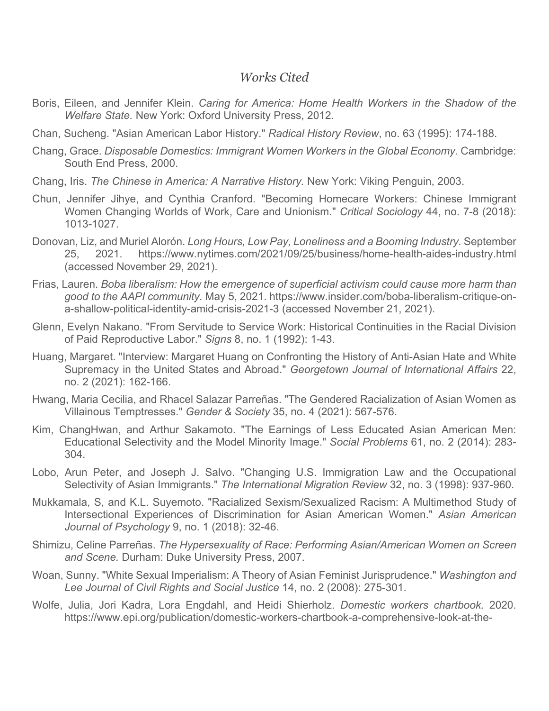### *Works Cited*

- Boris, Eileen, and Jennifer Klein. *Caring for America: Home Health Workers in the Shadow of the Welfare State.* New York: Oxford University Press, 2012.
- Chan, Sucheng. "Asian American Labor History." *Radical History Review*, no. 63 (1995): 174-188.
- Chang, Grace. *Disposable Domestics: Immigrant Women Workers in the Global Economy.* Cambridge: South End Press, 2000.
- Chang, Iris. *The Chinese in America: A Narrative History.* New York: Viking Penguin, 2003.
- Chun, Jennifer Jihye, and Cynthia Cranford. "Becoming Homecare Workers: Chinese Immigrant Women Changing Worlds of Work, Care and Unionism." *Critical Sociology* 44, no. 7-8 (2018): 1013-1027.
- Donovan, Liz, and Muriel Alorón. *Long Hours, Low Pay, Loneliness and a Booming Industry.* September 25, 2021. https://www.nytimes.com/2021/09/25/business/home-health-aides-industry.html (accessed November 29, 2021).
- Frias, Lauren. *Boba liberalism: How the emergence of superficial activism could cause more harm than good to the AAPI community.* May 5, 2021. https://www.insider.com/boba-liberalism-critique-ona-shallow-political-identity-amid-crisis-2021-3 (accessed November 21, 2021).
- Glenn, Evelyn Nakano. "From Servitude to Service Work: Historical Continuities in the Racial Division of Paid Reproductive Labor." *Signs* 8, no. 1 (1992): 1-43.
- Huang, Margaret. "Interview: Margaret Huang on Confronting the History of Anti-Asian Hate and White Supremacy in the United States and Abroad." *Georgetown Journal of International Affairs* 22, no. 2 (2021): 162-166.
- Hwang, Maria Cecilia, and Rhacel Salazar Parreñas. "The Gendered Racialization of Asian Women as Villainous Temptresses." *Gender & Society* 35, no. 4 (2021): 567-576.
- Kim, ChangHwan, and Arthur Sakamoto. "The Earnings of Less Educated Asian American Men: Educational Selectivity and the Model Minority Image." *Social Problems* 61, no. 2 (2014): 283- 304.
- Lobo, Arun Peter, and Joseph J. Salvo. "Changing U.S. Immigration Law and the Occupational Selectivity of Asian Immigrants." *The International Migration Review* 32, no. 3 (1998): 937-960.
- Mukkamala, S, and K.L. Suyemoto. "Racialized Sexism/Sexualized Racism: A Multimethod Study of Intersectional Experiences of Discrimination for Asian American Women." *Asian American Journal of Psychology* 9, no. 1 (2018): 32-46.
- Shimizu, Celine Parreñas. *The Hypersexuality of Race: Performing Asian/American Women on Screen and Scene.* Durham: Duke University Press, 2007.
- Woan, Sunny. "White Sexual Imperialism: A Theory of Asian Feminist Jurisprudence." *Washington and Lee Journal of Civil Rights and Social Justice* 14, no. 2 (2008): 275-301.
- Wolfe, Julia, Jori Kadra, Lora Engdahl, and Heidi Shierholz. *Domestic workers chartbook.* 2020. https://www.epi.org/publication/domestic-workers-chartbook-a-comprehensive-look-at-the-